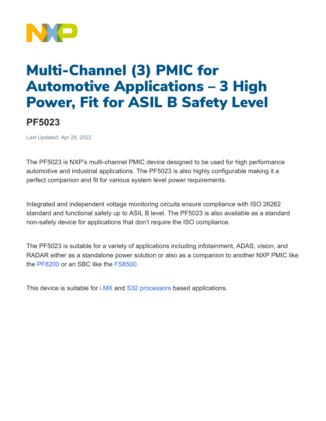

## Multi-Channel (3) PMIC for Automotive Applications – 3 High Power, Fit for ASIL B Safety Level

## **PF5023**

Last Updated: Apr 28, 2022

The PF5023 is NXP's multi-channel PMIC device designed to be used for high performance automotive and industrial applications. The PF5023 is also highly configurable making it a perfect companion and fit for various system level power requirements.

Integrated and independent voltage monitoring circuits ensure compliance with ISO 26262 standard and functional safety up to ASIL B level. The PF5023 is also available as a standard non-safety device for applications that don't require the ISO compliance.

The PF5023 is suitable for a variety of applications including infotainment, ADAS, vision, and RADAR either as a standalone power solution or also as a companion to another NXP PMIC like the [PF8200](https://www.nxp.com/products/power-management/pmics-and-sbcs/pmics/12-channel-power-management-integrated-circuit-pmic-for-high-performance-processing-applications:PF8100-PF8200) or an SBC like the [FS8500.](https://www.nxp.com/products/power-management/pmics-and-sbcs/safety-sbcs/safety-system-basis-chip-for-s32-microcontrollers-fit-for-asil-d:FS8500)

This device is suitable for [i.MX](https://www.nxp.com/products/processors-and-microcontrollers/arm-processors/i-mx-applications-processors:IMX_HOME) and [S32 processors](https://www.nxp.com/products/processors-and-microcontrollers/s32-automotive-platform:S32) based applications.